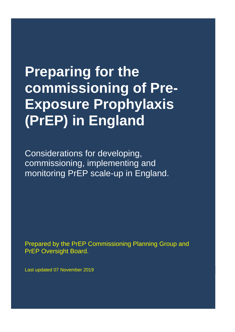## **Preparing for the commissioning of Pre-Exposure Prophylaxis (PrEP) in England**

Considerations for developing, commissioning, implementing and monitoring PrEP scale-up in England.

Prepared by the PrEP Commissioning Planning Group and PrEP Oversight Board.

Last updated 07 November 2019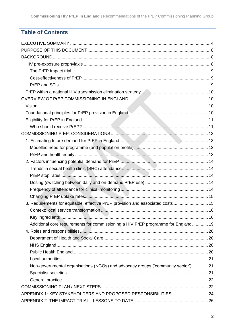## **Table of Contents**

| 3. Requirements for equitable, effective PrEP provision and associated costs  15   |  |
|------------------------------------------------------------------------------------|--|
|                                                                                    |  |
|                                                                                    |  |
| Additional core requirements for commissioning a HIV PrEP programme for England 19 |  |
|                                                                                    |  |
|                                                                                    |  |
|                                                                                    |  |
|                                                                                    |  |
|                                                                                    |  |
| Non-governmental organisations (NGOs) and advocacy groups ('community sector')21   |  |
|                                                                                    |  |
|                                                                                    |  |
|                                                                                    |  |
| APPENDIX 1: KEY STAKEHOLDERS AND PROPOSED RESPONSIBILITIES  24                     |  |
|                                                                                    |  |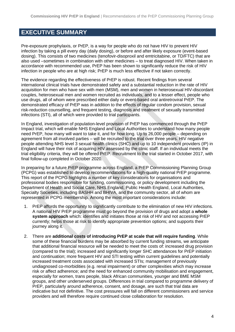## <span id="page-3-0"></span>**EXECUTIVE SUMMARY**

Pre-exposure prophylaxis, or PrEP, is a way for people who do not have HIV to prevent HIV infection by taking a pill every day (daily dosing), or before and after likely exposure (event-based dosing). This consists of two medicines (tenofovir-disoproxil and emtricitabine, or TD/FTC) that are also used –sometimes in combination with other medicines – to treat diagnosed HIV. When taken in accordance with recommended use, PrEP has been shown to significantly reduce the risk of HIV infection in people who are at high risk; PrEP is much less effective if not taken correctly.

The evidence regarding the effectiveness of PrEP is robust. Recent findings from several international clinical trials have demonstrated safety and a substantial reduction in the rate of HIV acquisition for men who have sex with men (MSM), men and women in heterosexual HIV-discordant couples, heterosexual men and women recruited as individuals, and to a lesser effect, people who use drugs, all of whom were prescribed either daily or event-based oral antiretroviral PrEP. The demonstrated efficacy of PrEP was in addition to the effects of regular condom provision, sexual risk-reduction counselling, and frequent testing, diagnosis and treatment of sexually transmitted infections (STI), all of which were provided to trial participants.

In England, investigation of population-level provision of PrEP has commenced through the PrEP Impact trial, which will enable NHS England and Local Authorities to understand how many people need PrEP, how many will want to take it, and for how long. Up to 26,000 people – depending on agreement from all involved parties – will be recruited to the trial over three years. HIV negative people attending NHS level 3 sexual health clinics (SHC) and up to 10 independent providers (IP) in England will have their risk of acquiring HIV assessed by the clinic staff. If an individual meets the trial eligibility criteria, they will be offered PrEP. Recruitment to the trial started in October 2017, with final follow-up completed in October 2020.

In preparing for a future PrEP programme across England, a PrEP Commissioning Planning Group (PCPG) was established to develop recommendations for a high-quality national PrEP programme. This report of the PCPG highlights a number of key considerations for organisations and professional bodies responsible for funding, commissioning, or policy development including the Department of Health and Social Care, NHS England, Public Health England, Local Authorities, Specialty Societies, including BASHH and BHIVA, and the community sector, all of whom are represented in PCPG membership. Among the most important considerations include:

- 1. PrEP affords the opportunity to significantly contribute to the elimination of new HIV infections. A national HIV PrEP programme must go beyond the provision of drugs and adopt a **whole system approach** which: identifies and initiates those at risk of HIV and not accessing PrEP currently; helps those at risk to identify appropriate prevention options; and supports their journey along it.
- 2. There are **additional costs of introducing PrEP at scale that will require funding**. While some of these financial burdens may be absorbed by current funding streams, we anticipate that additional financial resource will be needed to meet the costs of: increased drug provision (compared to the trial); increased and significantly longer SHC attendances for PrEP initiation and continuation; more frequent HIV and STI testing within current guidelines and potentially increased treatment costs associated with increased STIs; management of previously undiagnosed co-morbidities (e.g. renal impairment) or other complexities which may increase risk or affect adherence; and the need for enhanced community mobilisation and engagement, especially for women, trans people, black African communities, younger and BME MSM groups, and other underserved groups. Differences in trial compared to programme delivery of PrEP, particularly around adherence, consent, and dosage, are such that trial data are indicative but not definitive. The cost pressures will fall on different commissioners and service providers and will therefore require continued close collaboration for resolution.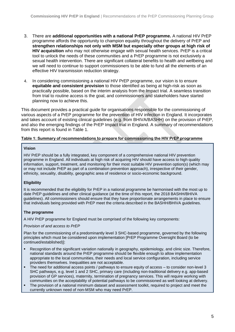- 3. There are **additional opportunities with a national PrEP programme.** A national HIV PrEP programme affords the opportunity to champion equality throughout the delivery of PrEP and **strengthen relationships not only with MSM but especially other groups at high risk of HIV acquisition** who may not otherwise engage with sexual health services. PrEP is a critical tool to unlock the needs of these communities and a PrEP programme is not exclusively a sexual health intervention. There are significant collateral benefits to health and wellbeing and we will need to continue to support commissioners to be able to fund all the elements of an effective HIV transmission reduction strategy.
- 4. In considering commissioning a national HIV PrEP programme, our vision is to ensure **equitable and consistent provision** to those identified as being at high-risk as soon as practically possible, based on the interim analysis from the Impact trial. A seamless transition from trial to routine access is the goal, and commissioners and stakeholders have started planning now to achieve this.

This document provides a practical guide for organisations responsible for the commissioning of various aspects of a PrEP programme for the prevention of HIV infection in England. It incorporates and takes account of existing clinical guidelines (e.g. from BHIVA/BASHH) on the provision of PrEP, and also the emerging findings of the PrEP Impact trial in England. A summary of recommendations from this report is found in Table 1.

#### **Table 1: Summary of recommendations to prepare for commissioning the HIV PrEP programme**

#### **Vision**

HIV PrEP should be a fully integrated, key component of a comprehensive national HIV prevention programme in England. All individuals at high risk of acquiring HIV should have access to high quality information, support, treatment, and monitoring for their most suitable HIV prevention option(s) (which may or may not include PrEP as part of a combination prevention approach), irrespective of their gender, ethnicity, sexuality, disability, geographic area of residence or socio-economic background.

## **Eligibility**

It is recommended that the eligibility for PrEP in a national programme be harmonised with the most up to date PrEP guidelines and other clinical guidance (at the time of this report, the 2018 BASHH/BHIVA guidelines). All commissioners should ensure that they have proportionate arrangements in place to ensure that individuals being provided with PrEP meet the criteria described in the BASHH/BHIVA guidelines.

## **The programme**

A HIV PrEP programme for England must be comprised of the following key components:

#### *Provision of and access to PrEP*

Plan for the commissioning of a predominantly level 3 SHC-based programme, governed by the following principles which must be considered upon implementation [PrEP Programme Oversight Board (to be continued/established)]:

- Recognition of the significant variation nationally in geography, epidemiology, and clinic size. Therefore, national standards around the PrEP programme should be flexible enough to allow implementation appropriate to the local communities, their needs and local service configuration, including service providers themselves. Inequalities are not acceptable.
- The need for additional access points / pathways to ensure equity of access to consider non-level 3 SHC pathways, e.g. level 1 and 2 SHC, primary care (including non-traditional delivery e.g. app-based provision of GP services), maternity, termination of pregnancy services. This will require working with communities on the acceptability of potential pathways to be commissioned as well looking at delivery.
- The provision of a national minimum dataset and assessment toolkit, required to project and meet the currently unknown need of non-MSM who may need PrEP.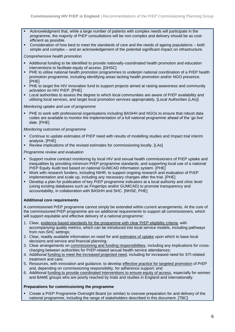- Acknowledgment that, while a large number of patients with complex needs will participate in the programme, the majority of PrEP consultations will be non-complex and delivery should be as costefficient as possible.
- Consideration of how best to meet the standards of care and the needs of ageing populations both simple and complex – and an acknowledgement of the potential significant impact on infrastructure.

#### *Comprehensive health promotion*

- Additional funding to be identified to provide nationally-coordinated health promotion and education interventions to facilitate equity of access. [DHSC]
- PHE to utilise national health promotion programmes to underpin national coordination of a PrEP health promotion programme, including identifying areas lacking health promotion and/or NGO presence. [PHE]
- PHE to target the HIV innovation fund to support projects aimed at raising awareness and community activation on HIV PrEP. [PHE]
- Local authorities to assess the degree to which local communities are aware of PrEP availability and utilising local services, and target local promotion services appropriately. [Local Authorities (LAs)]

#### *Monitoring uptake and use of programme*

■ PHE to work with professional organisations including BASHH and NGOs to ensure that robust data codes are available to monitor the implementation of a full national programme ahead of the 'go live' date. [PHE]

#### *Monitoring outcomes of programme*

- Continue to update estimates of PrEP need with results of modelling studies and Impact trial interim analysis. [PHE]
- Review implications of the revised estimates for commissioning locally. [LAs]

#### *Programme review and evaluation*

- Support routine contract monitoring by local HIV and sexual health commissioners of PrEP uptake and inequalities by providing minimum PrEP programme standards, and supporting local use of a national PrEP Equity Audit tool based on national GUMCAD information system. [PHE]
- Work with research funders, including NIHR, to support ongoing research and evaluation of PrEP implementation and scale up, including any necessary changes after the trial. [PHE]
- Develop a plan for publication of key PrEP programme indicators at a local authority and clinic level (using existing databases such as Fingertips and/or GUMCAD) to promote transparency and accountability, in collaboration with BASHH and SHC. [NHSE, PHE]

## **Additional core requirements**

A commissioned PrEP programme cannot simply be extended within current arrangements. At the core of the commissioned PrEP programme are six additional requirements to support all commissioners, which will support equitable and effective delivery of a national programme:

- 1. Clear, evidence-based standards for the programme with clear PrEP eligibility criteria, with accompanying quality metrics, which can be introduced into local service models, including pathways from non-SHC settings;
- 2. Clear, readily available information on need for and estimates of uptake upon which to base local decisions and service and financial planning;
- 3. Clear arrangements on commissioning and funding responsibilities, including any implications for crosscharging between authorities for PrEP-related sexual health service attendances;
- 4. Additional funding to meet the increased projected need, including for increased need for STI-related treatment and care;
- 5. Resources, with innovation and guidance, to develop effective practice for targeted promotion of PrEP and, depending on commissioning responsibility, for adherence support; and
- 6. Additional funding to provide coordinated interventions to ensure equity of access, especially for women and BAME groups who are poorly reached by trials and studies in England and internationally.

## **Preparations for commissioning the programme**

Create a PrEP Programme Oversight Board (or similar) to oversee preparation for and delivery of the national programme, including the range of stakeholders described in this document. [TBC]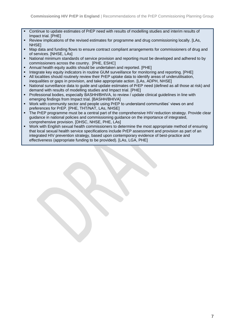- Continue to update estimates of PrEP need with results of modelling studies and interim results of Impact trial. [PHE]
- Review implications of the revised estimates for programme and drug commissioning locally. [LAs, NHSE]
- Map data and funding flows to ensure contract compliant arrangements for commissioners of drug and of services. [NHSE, LAs]
- National minimum standards of service provision and reporting must be developed and adhered to by commissioners across the country. [PHE, ESHC]
- Annual health equity audits should be undertaken and reported. [PHE]
- Integrate key equity indicators in routine GUM surveillance for monitoring and reporting. [PHE]
- All localities should routinely review their PrEP uptake data to identify areas of underutilisation, inequalities or gaps in provision, and take appropriate action. [LAs, ADPH, NHSE]
- National surveillance data to guide and update estimates of PrEP need (defined as all those at risk) and demand with results of modelling studies and Impact trial. [PHE]
- Professional bodies, especially BASHH/BHIVA, to review / update clinical guidelines in line with emerging findings from Impact trial. [BASHH/BHIVA]
- Work with community sector and people using PrEP to understand communities' views on and preferences for PrEP. [PHE, THT/NAT, LAs, NHSE]
- **•** The PrEP programme must be a central part of the comprehensive HIV reduction strategy. Provide clear guidance in national policies and commissioning guidance on the importance of integrated, comprehensive provision. [DHSC, NHSE, PHE, LAs]
- Work with English sexual health commissioners to determine the most appropriate method of ensuring that local sexual health service specifications include PrEP assessment and provision as part of an integrated HIV prevention strategy, based upon contemporary evidence of best-practice and effectiveness (appropriate funding to be provided). [LAs, LGA, PHE]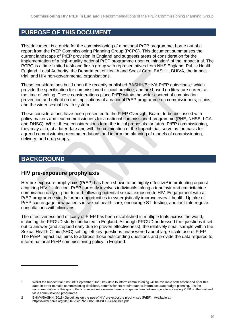## <span id="page-7-0"></span>**PURPOSE OF THIS DOCUMENT**

This document is a guide for the commissioning of a national PrEP programme, borne out of a report from the PrEP Commissioning Planning Group (PCPG). This document summarises the current landscape of PrEP provision in England and suggests areas of consideration for the implementation of a high-quality national PrEP programme upon culmination<sup>1</sup> of the Impact trial. The PCPG is a time-limited task and finish group with representatives from NHS England, Public Health England, Local Authority, the Department of Health and Social Care, BASHH, BHIVA, the Impact trial, and HIV non-governmental organisations.

<span id="page-7-3"></span>These considerations build upon the recently published BASHH/BHIVA PrEP guidelines,<sup>2</sup> which provide the specification for commissioned clinical practice, and are based on literature current at the time of writing. These considerations place PrEP within the wider context of combination prevention and reflect on the implications of a national PrEP programme on commissioners, clinics, and the wider sexual health system.

These considerations have been presented to the PrEP Oversight Board, to be discussed with policy makers and lead commissioners for a national commissioned programme (PHE, NHSE, LGA and DHSC). Whilst these considerations form the initial proposals for future PrEP commissioning, they may also, at a later date and with the culmination of the Impact trial, serve as the basis for agreed commissioning recommendations and inform the planning of models of commissioning, delivery, and drug supply.

## <span id="page-7-1"></span>**BACKGROUND**

## <span id="page-7-2"></span>**HIV pre-exposure prophylaxis**

HIV pr[e](#page-7-3)-exposure prophylaxis (PrEP) has been shown to be highly effective<sup>2</sup> in protecting against acquiring HIV-1 infection. PrEP currently involves individuals taking a tenofovir and emtricitabine combination daily or prior to and following potential sexual exposure to HIV. Engagement with a PrEP programme yields further opportunities to synergistically improve overall health. Uptake of PrEP can engage new patients in sexual health care, encourage STI testing, and facilitate regular consultations with clinicians.

The effectiveness and efficacy of PrEP has been established in multiple trials across the world, including the PROUD study conducted in England. Although PROUD addressed the questions it set out to answer (and stopped early due to proven effectiveness), the relatively small sample within the Sexual Health Clinic (SHC) setting left key questions unanswered about large-scale use of PrEP. The PrEP Impact trial aims to address those outstanding questions and provide the data required to inform national PrEP commissioning policy in England.

<sup>1</sup> Whilst the Impact trial runs until September 2020, key data to inform commissioning will be available both before and after this date. In order to make commissioning decisions, commissioners require data to inform accurate budget planning. It is the recommendation of this group that commissioners ensure there is no gap in time between people accessing PrEP on the trial and via a commissioned programme.

<sup>2</sup> BHIVA/BASHH (2018) Guidelines on the use of HIV pre-exposure prophylaxis (PrEP). Available at: <https://www.bhiva.org/file/5b729cd592060/2018-PrEP-Guidelines.pdf>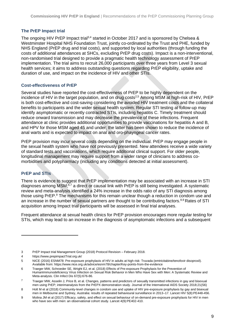## <span id="page-8-0"></span>**The PrEP Impact trial**

The ongoing HIV PrEP Impact trial<sup>3,4</sup> started in October 2017 and is sponsored by Chelsea & Westminster Hospital NHS Foundation Trust, jointly co-ordinated by the Trust and PHE, funded by NHS England (PrEP drug and trial costs), and supported by local authorities (through funding the costs of additional attendances at SHCs, excluding PrEP drug costs). Impact is a non-interventional, non-randomised trial designed to provide a pragmatic health technology assessment of PrEP implementation. The trial aims to recruit 26,000 participants over three years from Level 3 sexual health services; it aims to address outstanding questions regarding PrEP eligibility, uptake and duration of use, and impact on the incidence of HIV and other STIs.

## <span id="page-8-1"></span>**Cost-effectiveness of PrEP**

Several studies have reported the cost-effectiveness of PrEP to be highly dependent on the incidence of HIV in the target population, and on drug costs<sup>[2,5](#page-7-3)</sup> Among MSM at high-risk of HIV, PrEP is both cost-effective and cost-saving considering the avoided HIV treatment costs and the collateral benefits to participants and the wider sexual health system. Regular STI testing at follow-up may identify asymptomatic or recently contracted STIs, including hepatitis C. Timely treatment should reduce onward transmission and may decrease the prevalence of these infections. Frequent attendance at clinic provides additional opportunities to provide vaccinations for hepatitis A and B, and HPV for those MSM aged 45 and under; the latter has been shown to reduce the incidence of anal warts and is expected to impact on anal and oro-phayngeal cancer rates.

PrEP provision may incur several costs depending on the individual. PrEP may engage people in the sexual health system who have not previously presented. New attendees receive a wide variety of standard tests and vaccinations, which require additional clinical support. For older people, longitudinal management may require support from a wider range of clinicians to address comorbidities and polypharmacy (including any conditions detected at initial assessment).

## <span id="page-8-2"></span>**PrEP and STIs**

There is evidence to suggest that PrEP implementation may be associated with an increase in STI diagnoses among MSM;<sup>6,7</sup> a direct or causal link with PrEP is still being investigated. A systematic review and meta-analysis identified a 24% increase in the odds ratio of any STI diagnosis among those using PrEP.<sup>9</sup> The mechanisms for this remain unclear though a reduction in condom use and an increase in the number of sexual partners are thought to be contributing factors.<sup>8,9</sup> Rates of STI acquisition among Impact trial participants will be assessed in final trial analyses.

Frequent attendance at sexual health clinics for PrEP provision encourages more regular testing for STIs, which may lead to an increase in the diagnosis of asymptomatic infections and a subsequent

<sup>3</sup> PrEP Impact trial Management Group (2018) Protocol Revision – February 2018.

<sup>4</sup> [https://www.prepimpactTrial.org.uk/](https://www.prepimpacttrial.org.uk/)

<sup>5</sup> NICE (2016) ESNM78: Pre-exposure prophylaxis of HIV in adults at high risk: Truvada (emtricitabine/tenofovir disoproxil). Available from[: https://www.nice.org.uk/advice/esnm78/chapter/Key-points-from-the-evidence](https://www.nice.org.uk/advice/esnm78/chapter/Key-points-from-the-evidence)

<sup>6</sup> Traeger MW, Schroeder SE, Wright EJ, et al. (2018) Effects of Pre-exposure Prophylaxis for the Prevention of HumanImmunodeficiency Virus Infection on Sexual Risk Behavior in Men Who Have Sex with Men: A Systematic Review and Meta-analysis. Clin Infect Dis 67(5):676-86.

<sup>7</sup> Traeger MW, Asselin J, Price B, et al. Changes, patterns and predictors of sexually transmitted infections in gay and bisexual men using PrEP; interimanalysis from the PrEPX demonstration study. Journal of the International AIDS Society 2018;21(S6)

<sup>8</sup> Holt M et al (2018) Community-level changes in condom use and uptake of HIV pre-exposure prophylaxis by gay and bisexual men in Melbourne and Sydney, Australia: results of repeated behavioural surveillance in 2013–17. Lancet HIV 5(8):PE448-456.

<sup>9</sup> Molina JM et al (2017) Efficacy, safety, and effect on sexual behaviour of on-demand pre-exposure prophylaxis for HIV in men who have sex with men: an observational cohort study. Lancet 4(9):PE402-410.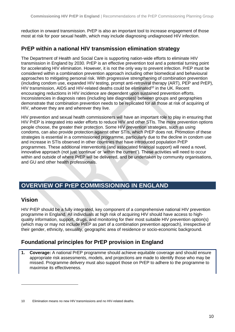reduction in onward transmission. PrEP is also an important tool to increase engagement of those most at risk for poor sexual health, which may include diagnosing undiagnosed HIV infection.

## <span id="page-9-0"></span>**PrEP within a national HIV transmission elimination strategy**

The Department of Health and Social Care is supporting nation-wide efforts to eliminate HIV transmission in England by 2030. PrEP is an effective prevention tool and a potential turning point for accelerating HIV elimination. However, it is not the only way to prevent infection. PrEP must be considered within a combination prevention approach including other biomedical and behavioural approaches to mitigating personal risk. With progressive strengthening of combination prevention (including condom use, expanded HIV testing, prompt anti-retroviral therapy (ART), PEP and PrEP), HIV transmission, AIDS and HIV-related deaths could be eliminated<sup>10</sup> in the UK. Recent encouraging reductions in HIV incidence are dependent upon sustained prevention efforts. Inconsistencies in diagnosis rates (including late diagnoses) between groups and geographies demonstrate that combination prevention needs to be replicated for all those at risk of acquiring of HIV, whoever they are and wherever they live.

HIV prevention and sexual health commissioners will have an important role to play in ensuring that HIV PrEP is integrated into wider efforts to reduce HIV and other STIs. The more prevention options people choose, the greater their protection. Some HIV prevention strategies, such as using condoms, can also provide protection against other STIs, which PrEP does not. Promotion of these strategies is essential in a commissioned programme, particularly due to the decline in condom use and increase in STIs observed in other countries that have introduced population PrEP programmes. These additional interventions (and associated financial support) will need a novel, innovative approach (not just 'continue' or 'within the current'). These activities will need to occur within and outside of where PrEP will be delivered, and be undertaken by community organisations, and GU and other health professionals.

## <span id="page-9-1"></span>**OVERVIEW OF PrEP COMMISSIONING IN ENGLAND**

## <span id="page-9-2"></span>**Vision**

HIV PrEP should be a fully integrated, key component of a comprehensive national HIV prevention programme in England. All individuals at high risk of acquiring HIV should have access to highquality information, support, drugs, and monitoring for their most suitable HIV prevention option(s) (which may or may not include PrEP as part of a combination prevention approach), irrespective of their gender, ethnicity, sexuality, geographic area of residence or socio-economic background.

## <span id="page-9-3"></span>**Foundational principles for PrEP provision in England**

**1. Coverage:** A national PrEP programme should achieve equitable coverage and should ensure appropriate risk assessments, models, and projections are made to identify those who may be missed. Programme delivery must also support those on PrEP to adhere to the programme to maximise its effectiveness.

<sup>10</sup> Elimination means no new HIV transmissions and no HIV-related deaths.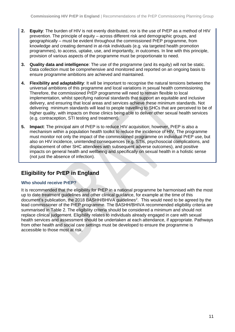- **2. Equity**: The burden of HIV is not evenly distributed, nor is the use of PrEP as a method of HIV prevention. The principle of equity – across different risk and demographic groups, and geographically – must be evident throughout the commissioned PrEP programme, from knowledge and creating demand in at-risk individuals (e.g. via targeted health promotion programmes), to access, uptake, use, and importantly, in outcomes. In line with this principle, provision of various aspects of the programme must be proportionate to need.
- **3. Quality data and intelligence**: The use of the programme (and its equity) will not be static. Data collection must be comprehensive and monitored and reported on an ongoing basis to ensure programme ambitions are achieved and maintained.
- **4. Flexibility and adaptability**: It will be important to recognise the natural tensions between the universal ambitions of this programme and local variations in sexual health commissioning. Therefore, the commissioned PrEP programme will need to remain flexible to local implementation, whilst specifying national standards that support an equitable and inclusive delivery, and ensuring that local areas and services achieve these minimum standards. Not delivering minimum standards will lead to people travelling to SHCs that are perceived to be of higher quality, with impacts on those clinics being able to deliver other sexual health services (e.g. contraception, STI testing and treatment).
- **5. Impact**: The principal aim of PrEP is to reduce HIV acquisition; however, PrEP is also a mechanism within a population health toolkit to reduce the incidence of HIV. The programme must monitor not only the impact of the commissioned programme on individual PrEP use, but also on HIV incidence, unintended consequences (e.g. STIs, psychosocial complications, and displacement of other SHC attendees with subsequent adverse outcomes), and positive impacts on general health and wellbeing and specifically on sexual health in a holistic sense (not just the absence of infection).

## <span id="page-10-0"></span>**Eligibility for PrEP in England**

## <span id="page-10-1"></span>**Who should receive PrEP?**

It is recommended that the eligibility for PrEP in a national programme be harmonised with the most up to date treatment guidelines and other clinical guidance, for example at the time of this document's publication, the [2](#page-7-3)018 BASHH/BHIVA guidelines<sup>2</sup>. This would need to be agreed by the lead commissioner of the PrEP programme. The BASHH/BHIVA recommended eligibility criteria are summarised in Table 2. The eligibility criteria should be considered a minimum and should not replace clinical judgement. Eligibility relates to individuals already engaged in care with sexual health services and assessment should be undertaken at each attendance, if appropriate. Pathways from other health and social care settings must be developed to ensure the programme is accessible to those most at risk.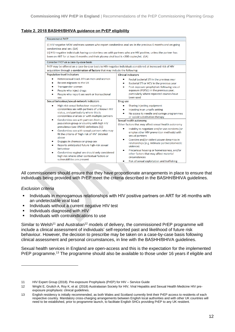## **Table 2. 2018 BASHH/BHIVA guidance on PrEP eligibility**

| <b>Recommend PrEP</b>                                                                                                                                                                                                                                                                                                                             |                                                                                                                                                                                                                                         |  |  |
|---------------------------------------------------------------------------------------------------------------------------------------------------------------------------------------------------------------------------------------------------------------------------------------------------------------------------------------------------|-----------------------------------------------------------------------------------------------------------------------------------------------------------------------------------------------------------------------------------------|--|--|
| (i) HIV-negative MSM and trans women who report condomless anal sex in the previous 6 months and on-going<br>condomless anal sex. (1A)<br>(ii) HIV-negative individuals having condomless sex with partners who are HIV positive, unless the partner has<br>been on ART for at least 6 months and their plasma viral load is <200 copies/mL. (1A) |                                                                                                                                                                                                                                         |  |  |
| Consider PrEP on a case-by-case basis                                                                                                                                                                                                                                                                                                             |                                                                                                                                                                                                                                         |  |  |
| PrEP may be offered on a case-by-case basis to HIV-negative individuals considered at increased risk of HIV                                                                                                                                                                                                                                       |                                                                                                                                                                                                                                         |  |  |
| acquisition through a combination of factors that may include the following:                                                                                                                                                                                                                                                                      |                                                                                                                                                                                                                                         |  |  |
| Population-level indicators                                                                                                                                                                                                                                                                                                                       | <b>Clinical indicators</b>                                                                                                                                                                                                              |  |  |
| Heterosexual black African men and women<br>Recent migrants to the UK<br>Transgender women<br>People who inject drugs<br>People who report sex work or transactional<br>sex                                                                                                                                                                       | Rectal bacterial STI in the previous year<br>Bacterial STI or HCV in the previous year<br>Post-exposure prophylaxis following sexual<br>exposure (PEPSE) in the previous year;<br>particularly where repeated courses have<br>been used |  |  |
| Sexual behaviour/sexual-network indicators                                                                                                                                                                                                                                                                                                        | Drug use                                                                                                                                                                                                                                |  |  |
| High-risk sexual behaviour: reporting<br>٠<br>condomless sex with partners of unknown HIV<br>status, and particularly where this is<br>condomless anal sex or with multiple partners                                                                                                                                                              | Sharing injecting equipment<br>Injecting in an unsafe setting<br>No access to needle and syringe programmes<br>or opioid substitution therapy                                                                                           |  |  |
| Condomless sex with partners from a                                                                                                                                                                                                                                                                                                               | Sexual health autonomy                                                                                                                                                                                                                  |  |  |
| population group or country with high HIV                                                                                                                                                                                                                                                                                                         | Other factors that may affect sexual health autonomy                                                                                                                                                                                    |  |  |
| prevalence (see UNAID definitions [1])<br>Condomless sex with sexual partners who may<br>fit the criteria of 'high risk of HIV' detailed<br>above                                                                                                                                                                                                 | Inability to negotiate and/or use condoms (or<br>employ other HIV prevention methods) with<br>sexual partners<br>Coercive and/or violent power dynamics in                                                                              |  |  |
| Engages in chemsex or group sex<br>Reports anticipated future high-risk sexual<br>behaviour                                                                                                                                                                                                                                                       | relationships (e.g. intimate partner/domestic<br>violence)                                                                                                                                                                              |  |  |
| Condomless vaginal sex should only considered<br>high risk where other contextual factors or<br>vulnerabilities are present                                                                                                                                                                                                                       | Precarious housing or homelessness, and/or<br>other factors that may affect material<br>circumstances<br>Risk of sexual exploitation and trafficking                                                                                    |  |  |
|                                                                                                                                                                                                                                                                                                                                                   |                                                                                                                                                                                                                                         |  |  |

All commissioners should ensure that they have proportionate arrangements in place to ensure that individuals being provided with PrEP meet the criteria described in the BASHH/BHIVA guidelines.

## *Exclusion criteria*

- Individuals in monogamous relationships with HIV positive partners on ART for ≥6 months with an undetectable viral load
- **Individuals without a current negative HIV test**
- **·** Individuals diagnosed with HIV
- **·** Individuals with contraindications to use

Similar to Welsh<sup>11</sup> and Australian<sup>12</sup> models of delivery, the commissioned PrEP programme will include a clinical assessment of individuals' self-reported past and likelihood of future risk behaviour. However, the decision to prescribe may be taken on a case-by-case basis following clinical assessment and personal circumstances, in line with the BASHH/BHIVA guidelines.

Sexual health services in England are open-access and this is the expectation for the implemented PrEP programme.<sup>13</sup> The programme should also be available to those under 16 years if eligible and

<sup>11</sup> HIV Expert Group (2018). Pre-exposure Prophylaxis (PrEP) for HIV – Service Guide

<sup>12</sup> Wright E, Grulich A, Roy K, et al. (2018) Australasian Society for HIV, Viral Hepatitis and Sexual Health Medicine HIV preexposure prophylaxis: clinical guidelines.

<sup>13</sup> English residency is initially recommended, as both Wales and Scotland currently limit their PrEP access to residents of each respective country. Mandatory cross-charging arrangements between English local authorities and with other UK countries will need to be established, prior to programme launch, to facilitate English SHCs providing PrEP to any UK resident.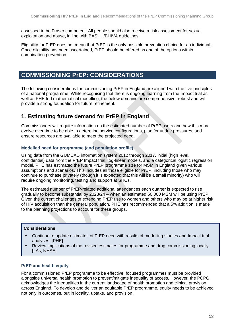assessed to be Fraser competent. All people should also receive a risk assessment for sexual exploitation and abuse, in line with BASHH/BHIVA guidelines.

Eligibility for PrEP does not mean that PrEP is the only possible prevention choice for an individual. Once eligibility has been ascertained, PrEP should be offered as one of the options within combination prevention.

## <span id="page-12-0"></span>**COMMISSIONING PrEP: CONSIDERATIONS**

The following considerations for commissioning PrEP in England are aligned with the five principles of a national programme. While recognising that there is ongoing learning from the Impact trial as well as PHE-led mathematical modelling, the below domains are comprehensive, robust and will provide a strong foundation for future refinement.

## <span id="page-12-1"></span>**1. Estimating future demand for PrEP in England**

Commissioners will require information on the estimated number of PrEP users and how this may evolve over time to be able to determine service configurations, plan for undue pressures, and ensure resources are available to meet the projected need.

## <span id="page-12-2"></span>**Modelled need for programme (and population profile)**

Using data from the GUMCAD information system 2012 through 2017, initial (high level, confidential) data from the PrEP Impact trial, log-linear models, and a categorical logistic regression model, PHE has estimated the future PrEP programme size for MSM in England given various assumptions and scenarios. This includes all those eligible for PrEP, including those who may continue to purchase privately (though it is expected that this will be a small minority) who will require ongoing monitoring, testing and support at SHCs.

The estimated number of PrEP-related additional attendances each quarter is expected to rise gradually to become substantial by 2023/24 – when an estimated 50,000 MSM will be using PrEP. Given the current challenges of extending PrEP use to women and others who may be at higher risk of HIV acquisition than the general population, PHE has recommended that a 5% addition is made to the planning projections to account for these groups.

## **Considerations**

- Continue to update estimates of PrEP need with results of modelling studies and Impact trial analyses. [PHE]
- Review implications of the revised estimates for programme and drug commissioning locally [LAs, NHSE]

## <span id="page-12-3"></span>**PrEP and health equity**

For a commissioned PrEP programme to be effective, focused programmes must be provided alongside universal health promotion to prevent/mitigate inequality of access. However, the PCPG acknowledges the inequalities in the current landscape of health promotion and clinical provision across England. To develop and deliver an equitable PrEP programme, equity needs to be achieved not only in outcomes, but in locality, uptake, and provision.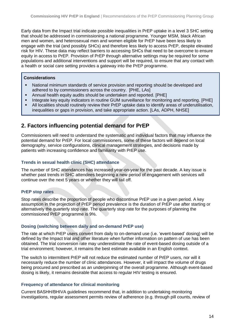Early data from the Impact trial indicate possible inequalities in PrEP uptake in a level 3 SHC setting that should be addressed in commissioning a national programme. Younger MSM, black African men and women, and heterosexual men and women eligible for PrEP have been less likely to engage with the trial (and possibly SHCs) and therefore less likely to access PrEP, despite elevated risk for HIV. These data may reflect barriers to accessing SHCs that need to be overcome to ensure equity in access to PrEP. Provision of PrEP through alternative settings may be required for some populations and additional interventions and support will be required, to ensure that any contact with a health or social care setting provides a gateway into the PrEP programme.

## **Considerations**

- National minimum standards of service provision and reporting should be developed and adhered to by commissioners across the country. [PHE, LAs]
- Annual health equity audits should be undertaken and reported. [PHE]
- Integrate key equity indicators in routine GUM surveillance for monitoring and reporting. [PHE]
- **E** All localities should routinely review their PrEP uptake data to identify areas of underutilisation, inequalities or gaps in provision, and take appropriate action. [LAs, ADPH, NHSE]

## <span id="page-13-0"></span>**2. Factors influencing potential demand for PrEP**

Commissioners will need to understand the systematic and individual factors that may influence the potential demand for PrEP. For local commissioners, some of these factors will depend on local demography, service configurations, clinical management strategies, and decisions made by patients with increasing confidence and familiarity with PrEP use.

## <span id="page-13-1"></span>**Trends in sexual health clinic (SHC) attendance**

The number of SHC attendances has increased year-on-year for the past decade. A key issue is whether past trends in SHC attendees beginning a new period of engagement with services will continue over the next 5 years or whether they will tail off.

## <span id="page-13-2"></span>**PrEP stop rates**

Stop rates describe the proportion of people who discontinue PrEP use in a given period. A key assumption in the projection of PrEP period prevalence is the duration of PrEP use after starting or alternatively the quarterly stop rate. The quarterly stop rate for the purposes of planning the commissioned PrEP programme is 9%.

## <span id="page-13-3"></span>**Dosing (switching between daily and on-demand PrEP use)**

The rate at which PrEP users convert from daily to on-demand use (i.e. 'event-based' dosing) will be defined by the Impact trial and other literature when further information on pattern of use has been obtained. The trial conversion rate may underestimate the rate of event-based dosing outside of a trial environment; however, it remains the best estimate available in an English context.

The switch to intermittent PrEP will not reduce the estimated number of PrEP users, nor will it necessarily reduce the number of clinic attendances. However, it will impact the volume of drugs being procured and prescribed as an underpinning of the overall programme. Although event-based dosing is likely, it remains desirable that access to regular HIV testing is ensured.

## <span id="page-13-4"></span>**Frequency of attendance for clinical monitoring**

Current BASHH/BHIVA guidelines recommend that, in addition to undertaking monitoring investigations, regular assessment permits review of adherence (e.g. through pill counts, review of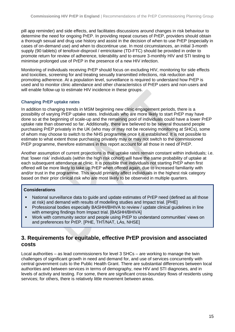pill app reminder) and side effects, and facilitates discussions around changes in risk behaviour to determine the need for ongoing PrEP. In providing repeat courses of PrEP, providers should obtain a thorough sexual and drug use history and assist in the decision of when to use PrEP (especially in cases of on-demand use) and when to discontinue use. In most circumstances, an initial 3-month supply (90 tablets) of tenofovir-disproxil / emtricitaine (TD-FTC) should be provided in order to promote return for review of adherence, tolerability and to ensure 3-monthly HIV and STI testing to minimise prolonged use of PrEP in the presence of a new HIV infection.

Monitoring of individuals receiving PrEP should focus on excluding HIV, monitoring for side effects and toxicities, screening for and treating sexually transmitted infections, risk reduction and promoting adherence. At a population level, surveillance is required to understand how PrEP is used and to monitor clinic attendance and other characteristics of PrEP users and non-users and will enable follow-up to estimate HIV incidence in these groups.

## <span id="page-14-0"></span>**Changing PrEP uptake rates**

In addition to changing trends in MSM beginning new clinic engagement periods, there is a possibility of varying PrEP uptake rates. Individuals who are more likely to start PrEP may have done so at the beginning of scale-up and the remaining pool of individuals could have a lower PrEP uptake rate than observed so far. Additionally, there are believed to be several thousand people purchasing PrEP privately in the UK (who may or may not be receiving monitoring at SHCs), some of whom may choose to switch to the NHS programme once it is established. It is not possible to estimate to what extent those purchasing privately may or may not switch to the commissioned PrEP programme, therefore estimates in this report account for all those in need of PrEP.

Another assumption of current projections is that uptake rates remain constant within individuals; i.e. that 'lower risk' individuals (within the high risk cohort) will have the same probability of uptake at each subsequent attendance at clinic. It is possible that individuals not starting PrEP when first offered will be more likely to take up PrEP when offered again, due to increased familiarity with and/or trust in the programme. This would primarily affect individuals in the highest risk category based on their prior clinical risk who are most likely to be observed in multiple quarters.

## **Considerations**

- National surveillance data to quide and update estimates of PrEP need (defined as all those at risk) and demand with results of modelling studies and Impact trial. [PHE]
- Professional bodies especially BASHH/BHIVA to review / update clinical quidelines in line with emerging findings from Impact trial. [BASHH/BHIVA]
- Work with community sector and people using PrEP to understand communities' views on and preferences for PrEP. [PHE, THT/NAT, LAs, NHSE]

## <span id="page-14-1"></span>**3. Requirements for equitable, effective PrEP provision and associated costs**

Local authorities – as lead commissioners for level 3 SHCs – are working to manage the twin challenges of significant growth in need and demand for, and use of services concurrently with central government cuts to the Public Health Grant. There are substantial differences between local authorities and between services in terms of demography, new HIV and STI diagnoses, and in levels of activity and testing. For some, there are significant cross-boundary flows of residents using services; for others, there is relatively little movement between areas.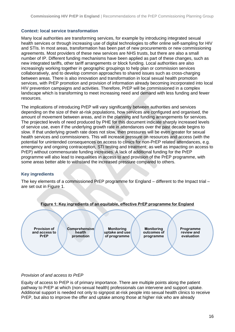#### <span id="page-15-0"></span>**Context: local service transformation**

Many local authorities are transforming services, for example by introducing integrated sexual health services or through increasing use of digital technologies to offer online self-sampling for HIV and STIs. In most areas, transformation has been part of new procurements or new commissioning agreements. Most providers of these new services are NHS trusts, but there are also a small number of IP. Different funding mechanisms have been applied as part of these changes, such as new integrated tariffs, other tariff arrangements or block funding. Local authorities are also increasingly working together in geographic groupings to help plan or commission services collaboratively, and to develop common approaches to shared issues such as cross-charging between areas. There is also innovation and transformation in local sexual health promotion services, with PrEP promotion and provision of information already becoming incorporated into local HIV prevention campaigns and activities. Therefore, PrEP will be commissioned in a complex landscape which is transforming to meet increasing need and demand with less funding and fewer resources.

The implications of introducing PrEP will vary significantly between authorities and services depending on the size of their at-risk populations, how services are configured and organised, the amount of movement between areas, and in the planning and funding arrangements for services. The projected levels of need produced by PHE for this document indicate sharply increased levels of service use, even if the underlying growth rate in attendances over the past decade begins to slow. If that underlying growth rate does not slow, then pressures will be even greater for sexual health services and commissioners. This will increase pressure on resources and access (with the potential for unintended consequences on access to clinics for non-PrEP related attendances, e.g. emergency and ongoing contraception, STI testing and treatment; as well as impacting on access to PrEP) without commensurate funding increases. A lack of additional funding for the PrEP programme will also lead to inequalities in access to and provision of the PrEP programme, with some areas better able to withstand the increased pressure compared to others.

## <span id="page-15-1"></span>**Key ingredients**

The key elements of a commissioned PrEP programme for England – different to the Impact trial – are set out in Figure 1.





## *Provision of and access to PrEP*

Equity of access to PrEP is of primary importance. There are multiple points along the patient pathway to PrEP at which (non-sexual health) professionals can intervene and support uptake. Additional support is needed not only to signpost at-risk people into sexual health clinics to receive PrEP, but also to improve the offer and uptake among those at higher risk who are already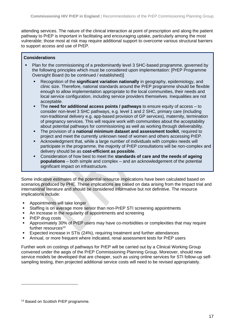attending services. The nature of the clinical interaction at point of prescription and along the patient pathway to PrEP is important in facilitating and encouraging uptake, particularly among the most vulnerable; those most at risk may require additional support to overcome various structural barriers to support access and use of PrEP.

## **Considerations**

- Plan for the commissioning of a predominantly level 3 SHC-based programme, governed by the following principles which must be considered upon implementation: [PrEP Programme Oversight Board (to be continued / established)]
	- Recognition of the **significant variation nationally** in geography, epidemiology, and clinic size. Therefore, national standards around the PrEP programme should be flexible enough to allow implementation appropriate to the local communities, their needs and local service configuration, including service providers themselves. Inequalities are not acceptable.
	- The **need for additional access points / pathways** to ensure equity of access to consider non-level 3 SHC pathways, e.g. level 1 and 2 SHC, primary care (including non-traditional delivery e.g. app-based provision of GP services), maternity, termination of pregnancy services. This will require work with communities about the acceptability about potential pathways for commissioning as well as working through deliverability.
	- The provision of a **national minimum dataset and assessment toolkit**, required to project and meet the currently unknown need of women and others accessing PrEP.
	- Acknowledgment that, while a large number of individuals with complex needs will participate in the programme, the majority of PrEP consultations will be non-complex and delivery should be as **cost-efficient as possible**.
	- Consideration of how best to meet the **standards of care and the needs of ageing populations** – both simple and complex – and an acknowledgement of the potential significant impact on infrastructure.

Some indicative estimates of the potential resource implications have been calculated based on scenarios produced by PHE. These implications are based on data arising from the Impact trial and international literature and should be considered informative but not definitive. The resource implications include:

- Appointments will take longer
- Staffing is on average more senior than non-PrEP STI screening appointments
- An increase in the regularity of appointments and screening
- **PrEP drug costs**
- **EXED Approximately 30% of PrEP users may have co-morbidities or complexities that may require** further resources $14$
- Expected increase in STIs (24%), requiring treatment and further attendances
- Annual, or more frequent where indicated, renal assessment tests for PrEP users

Further work on costings of pathways for PrEP will be carried out by a Clinical Working Group convened under the aegis of the PrEP Commissioning Planning Group. Moreover, should new service models be developed that are cheaper, such as using online services for STI follow-up selfsampling testing, then projected additional service costs will need to be revised appropriately.

<sup>14</sup> Based on Scottish PrEP programme.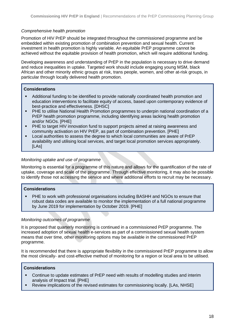## *Comprehensive health promotion*

Promotion of HIV PrEP should be integrated throughout the commissioned programme and be embedded within existing promotion of combination prevention and sexual health. Current investment in health promotion is highly variable. An equitable PrEP programme cannot be achieved without the equitable provision of health promotion, which will require additional funding.

Developing awareness and understanding of PrEP in the population is necessary to drive demand and reduce inequalities in uptake. Targeted work should include engaging young MSM, black African and other minority ethnic groups at risk, trans people, women, and other at-risk groups, in particular through locally delivered health promotion.

## **Considerations**

- Additional funding to be identified to provide nationally coordinated health promotion and education interventions to facilitate equity of access, based upon contemporary evidence of best-practice and effectiveness. [DHSC]
- PHE to utilise National Health Promotion programmes to underpin national coordination of a PrEP health promotion programme, including identifying areas lacking health promotion and/or NGOs. [PHE]
- **PHE to target HIV innovation fund to support projects aimed at raising awareness and** community activation on HIV PrEP, as part of combination prevention. [PHE]
- Local authorities to assess the degree to which local communities are aware of PrEP availability and utilising local services, and target local promotion services appropriately. [LAs]

## *Monitoring uptake and use of programme*

Monitoring is essential for a programme of this nature and allows for the quantification of the rate of uptake, coverage and scale of the programme. Through effective monitoring, it may also be possible to identify those not accessing the service and where additional efforts to recruit may be necessary.

## **Considerations**

PHE to work with professional organisations including BASHH and NGOs to ensure that robust data codes are available to monitor the implementation of a full national programme by June 2019 for implementation by October 2019. [PHE]

## *Monitoring outcomes of programme*

It is proposed that quarterly monitoring is continued in a commissioned PrEP programme. The increased adoption of sexual health e-services as part of a commissioned sexual health system means that over time, other monitoring options may be available in the commissioned PrEP programme.

It is recommended that there is appropriate flexibility in the commissioned PrEP programme to allow the most clinically- and cost-effective method of monitoring for a region or local area to be utilised.

## **Considerations**

- Continue to update estimates of PrEP need with results of modelling studies and interim analysis of Impact trial. [PHE]
- Review implications of the revised estimates for commissioning locally. [LAs, NHSE]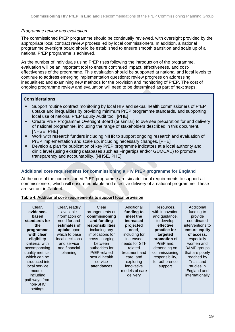## *Programme review and evaluation*

The commissioned PrEP programme should be continually reviewed, with oversight provided by the appropriate local contract review process led by local commissioners. In addition, a national programme oversight board should be established to ensure smooth transition and scale up of a national PrEP programme is achieved.

As the number of individuals using PrEP rises following the introduction of the programme, evaluation will be an important tool to ensure continued impact, effectiveness, and costeffectiveness of the programme. This evaluation should be supported at national and local levels to continue to address emerging implementation questions; review progress on addressing inequalities; and examining new methods for the provision and monitoring of PrEP. The cost of ongoing programme review and evaluation will need to be determined as part of next steps.

## **Considerations**

- Support routine contract monitoring by local HIV and sexual health commissioners of PrEP uptake and inequalities by providing minimum PrEP programme standards, and supporting local use of national PrEP Equity Audit tool. [PHE]
- Create PrEP Programme Oversight Board (or similar) to oversee preparation for and delivery of national programme, including the range of stakeholders described in this document. [NHSE, PHE]
- Work with research funders including NIHR to support ongoing research and evaluation of PrEP implementation and scale up, including necessary changes. [PHE]
- Develop a plan for publication of key PrEP programme indicators at a local authority and clinic level (using existing databases such as Fingertips and/or GUMCAD) to promote transparency and accountability. [NHSE, PHE]

## <span id="page-18-0"></span>**Additional core requirements for commissioning a HIV PrEP programme for England**

At the core of the commissioned PrEP programme are six additional requirements to support all commissioners, which will ensure equitable and effective delivery of a national programme. These are set out in Table 4.

## **Table 4: Additional core requirements to support local provision**

| Clear,<br>evidence-<br>based<br>standards for<br>the<br>programme<br>with clear<br>eligibility<br>criteria, with<br>accompanying<br>quality metrics,<br>which can be<br>introduced into<br>local service<br>models,<br>including<br>pathways from<br>non-SHC<br>settings | Clear, readily<br>available<br>information on<br>need for and<br>estimates of<br>uptake upon<br>which to base<br>local decisions<br>and service<br>and financial<br>planning | Clear<br>arrangements on<br>commissioning<br>and funding<br>responsibilities,<br>including any<br>implications for<br>cross-charging<br>between<br>authorities for<br>PrEP-related<br>sexual health<br>service<br>attendances | Additional<br>funding to<br>meet the<br>increased<br>projected<br>need.<br>including for<br>increased<br>needs for STI-<br>related<br>treatment and<br>care, and<br>exploring<br>innovative<br>models of care<br>delivery | Resources,<br>with innovation<br>and guidance,<br>to develop<br>effective<br>practice for<br>targeted<br>promotion of<br>PrEP and,<br>depending on<br>commissioning<br>responsibility,<br>for adherence<br>support | Additional<br>funding to<br>provide<br>coordinated<br>interventions to<br>ensure equity<br>of access,<br>especially<br>women and<br><b>BAME</b> groups<br>that are poorly<br>reached by<br>Trials and<br>studies in<br>England and<br>internationally |
|--------------------------------------------------------------------------------------------------------------------------------------------------------------------------------------------------------------------------------------------------------------------------|------------------------------------------------------------------------------------------------------------------------------------------------------------------------------|-------------------------------------------------------------------------------------------------------------------------------------------------------------------------------------------------------------------------------|---------------------------------------------------------------------------------------------------------------------------------------------------------------------------------------------------------------------------|--------------------------------------------------------------------------------------------------------------------------------------------------------------------------------------------------------------------|-------------------------------------------------------------------------------------------------------------------------------------------------------------------------------------------------------------------------------------------------------|
|--------------------------------------------------------------------------------------------------------------------------------------------------------------------------------------------------------------------------------------------------------------------------|------------------------------------------------------------------------------------------------------------------------------------------------------------------------------|-------------------------------------------------------------------------------------------------------------------------------------------------------------------------------------------------------------------------------|---------------------------------------------------------------------------------------------------------------------------------------------------------------------------------------------------------------------------|--------------------------------------------------------------------------------------------------------------------------------------------------------------------------------------------------------------------|-------------------------------------------------------------------------------------------------------------------------------------------------------------------------------------------------------------------------------------------------------|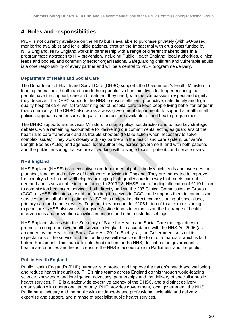## <span id="page-19-0"></span>**4. Roles and responsibilities**

PrEP is not currently available on the NHS but is available to purchase privately (with GU-based monitoring available) and for eligible patients, through the Impact trial with drug costs funded by NHS England. NHS England works in partnership with a range of different stakeholders in a programmatic approach to HIV prevention, including Public Health England, local authorities, clinical leads and bodies, and community sector organisations. Safeguarding children and vulnerable adults is a core responsibility of every partner and will be a central to PrEP programme delivery.

## <span id="page-19-1"></span>**Department of Health and Social Care**

The Department of Health and Social Care (DHSC) supports the Government's Health Ministers in leading the nation's health and care to help people live healthier lives for longer ensuring that people have the support, care and treatment they need, with the compassion, respect and dignity they deserve. The DHSC supports the NHS to ensure efficient, productive, safe, timely and high quality hospital care; whilst transforming out of hospital care to keep people living better for longer in their community. The DHSC also works across government departments to support a health in all policies approach and ensure adequate resources are available to fund health programmes.

The DHSC supports and advises Ministers to shape policy, set direction and to lead key strategic debates, while remaining accountable for delivering our commitments, acting as guardians of the health and care framework and as trouble-shooters (to take action when necessary to solve complex issues). They work closely with key partners in the health and care system, our Arm's Length Bodies (ALBs) and agencies, local authorities, across government, and with both patients and the public, ensuring that we are all working with a single focus – patients and service users.

## <span id="page-19-2"></span>**NHS England**

NHS England (NHSE) is an executive non-departmental public body which leads and oversees the planning, funding and delivery of healthcare provision in England. They are mandated to improve the country's health and wellbeing by arranging high quality care in a way that meets current demand and is sustainable into the future. In 2017/18, NHSE had a funding allocation of £110 billion to commission healthcare services, both directly and via the 207 Clinical Commissioning Groups (CCGs). NHSE allocates most of the funding it receives to CCGs and supports them to commission services on behalf of their patients. NHSE also undertakes direct commissioning of specialised, primary care and other services. Together they account for £105 billion of total commissioning expenditure. NHSE also works alongside Justice teams to commission the full range of health interventions and prevention activities in prisons and other custodial settings.

NHS England shares with the Secretary of State for Health and Social Care the legal duty to promote a comprehensive health service in England, in accordance with the NHS Act 2006 (as amended by the Health and Social Care Act 2012). Each year, the Government sets out its expectations of the service and the funding we will receive in the form of a mandate which is laid before Parliament. This mandate sets the direction for the NHS, describes the government's healthcare priorities and helps to ensure the NHS is accountable to Parliament and the public.

## <span id="page-19-3"></span>**Public Health England**

Public Health England's (PHE) purpose is to protect and improve the nation's health and wellbeing and reduce health inequalities. PHE's nine teams across England do this through world-leading science, knowledge and intelligence, advocacy, partnerships and the delivery of specialist public health services. PHE is a nationwide executive agency of the DHSC, and a distinct delivery organisation with operational autonomy. PHE provides government, local government, the NHS, Parliament, industry and the public with evidence-based professional, scientific and delivery expertise and support, and a range of specialist public health services.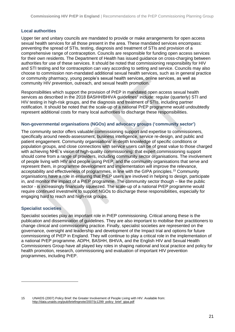## <span id="page-20-0"></span>**Local authorities**

Upper tier and unitary councils are mandated to provide or make arrangements for open access sexual health services for all those present in the area. These mandated services encompass: preventing the spread of STIs, testing, diagnosis and treatment of STIs and provision of a comprehensive range of contraception. Councils are responsible for funding open access services for their own residents. The Department of Health has issued guidance on cross-charging between authorities for use of these services. It should be noted that commissioning responsibility for HIV and STI testing and for contraception can vary according to setting and service. Councils may also choose to commission non-mandated additional sexual health services, such as in general practice or community pharmacy, young people's sexual health services, online services, as well as community HIV prevention, outreach, and sexual health promotion.

Responsibilities which support the provision of PrEP in mandated open access sexual health [s](#page-7-3)ervices as described in the 2018 BASHH/BHIVA guidelines<sup>2</sup> include: regular (quarterly) STI and HIV testing in high-risk groups, and the diagnosis and treatment of STIs, including partner notification. It should be noted that the scale-up of a national PrEP programme would undoubtedly represent additional costs for many local authorities to discharge these responsibilities.

## <span id="page-20-1"></span>**Non-governmental organisations (NGOs) and advocacy groups ('community sector')**

The community sector offers valuable commissioning support and expertise to commissioners, specifically around needs-assessment, business intelligence, service re-design, and public and patient engagement. Community organisations' in-depth knowledge of specific conditions or population groups, and close connections with service users can be of great value to those charged with achieving NHE's vision of high-quality commissioning: that expert commissioning support should come from a range of providers, including community sector organisations. The involvement of people living with HIV and people using PrEP, and the community organisations that serve and represent them, in programme development and implementation will improve the relevance, acceptability and effectiveness of programmes, in line with the GIPA principles.<sup>15</sup> Community organisations have a role in ensuring that PrEP users are involved in helping to design, participate in, and monitor the impact of a PrEP programme. The community sector though – like the public sector - is increasingly financially squeezed. The scale-up of a national PrEP programme would require continued investment to support NGOs to discharge these responsibilities, especially for engaging hard to reach and high-risk groups.

## <span id="page-20-2"></span>**Specialist societies**

Specialist societies play an important role in PrEP commissioning. Critical among these is the publication and dissemination of guidelines. They are also important to mobilise their practitioners to change clinical and commissioning practice. Finally, specialist societies are represented on the governance, oversight and leadership and development of the Impact trial and options for future commissioning of PrEP in England. They will continue to play a critical role in the implementation of a national PrEP programme. ADPH, BASHH, BHIVA, and the English HIV and Sexual Health Commissioners Group have all played key roles in shaping national and local practice and policy for health promotion, research, commissioning and evaluation of important HIV prevention programmes, including PrEP.

<sup>15</sup> UNAIDS (2007) Policy Brief: the Greater Involvement of People Living with HIV. Available from: [http://data.unaids.org/pub/briefingnote/2007/jc1299\\_policy\\_brief\\_gipa.pdf](http://data.unaids.org/pub/briefingnote/2007/jc1299_policy_brief_gipa.pdf)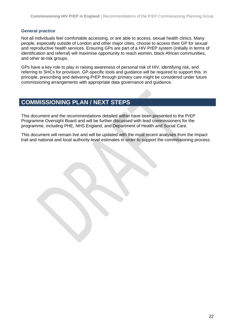#### <span id="page-21-0"></span>**General practice**

Not all individuals feel comfortable accessing, or are able to access, sexual health clinics. Many people, especially outside of London and other major cities, choose to access their GP for sexual and reproductive health services. Ensuring GPs are part of a HIV PrEP system (initially in terms of identification and referral) will maximise opportunity to reach women, black African communities, and other at-risk groups.

GPs have a key role to play in raising awareness of personal risk of HIV, identifying risk, and referring to SHCs for provision. GP-specific tools and guidance will be required to support this. In principle, prescribing and delivering PrEP through primary care might be considered under future commissioning arrangements with appropriate data governance and guidance.

## <span id="page-21-1"></span>**COMMISSIONING PLAN / NEXT STEPS**

This document and the recommendations detailed within have been presented to the PrEP Programme Oversight Board and will be further discussed with lead commissioners for the programme, including PHE, NHS England, and Department of Health and Social Care.

This document will remain live and will be updated with the most recent analyses from the Impact trail and national and local authority-level estimates in order to support the commissioning process.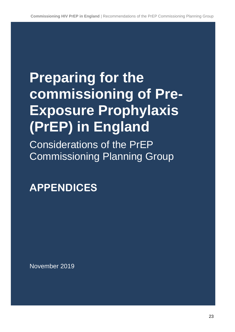# **Preparing for the commissioning of Pre-Exposure Prophylaxis (PrEP) in England**

Considerations of the PrEP Commissioning Planning Group

## **APPENDICES**

November 2019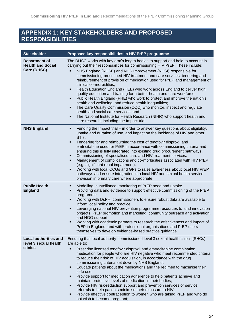## <span id="page-23-0"></span>**APPENDIX 1: KEY STAKEHOLDERS AND PROPOSED RESPONSIBILITIES**

| <b>Stakeholder</b>                                               | Proposed key responsibilities in HIV PrEP programme                                                                                                                                                                                                                                                                                                                                                                                                                                                                                                                                                                                                                                                                                                                                                                                                                                                                                                                       |
|------------------------------------------------------------------|---------------------------------------------------------------------------------------------------------------------------------------------------------------------------------------------------------------------------------------------------------------------------------------------------------------------------------------------------------------------------------------------------------------------------------------------------------------------------------------------------------------------------------------------------------------------------------------------------------------------------------------------------------------------------------------------------------------------------------------------------------------------------------------------------------------------------------------------------------------------------------------------------------------------------------------------------------------------------|
| <b>Department of</b><br><b>Health and Social</b><br>Care (DHSC)  | The DHSC works with key arm's length bodies to support and hold to account in<br>carrying out their responsibilities for commissioning HIV PrEP. These include:<br>NHS England (NHSE) and NHS Improvement (NHSI) responsible for<br>commissioning prescribed HIV treatment and care services, tendering and<br>reimbursement of provision of medication used for PrEP and management of<br>clinical co-morbidities;<br>Health Education England (HEE) who work across England to deliver high<br>٠<br>quality education and training for a better health and care workforce;<br>Public Health England (PHE) who work to protect and improve the nation's<br>٠<br>health and wellbeing, and reduce health inequalities;<br>The Care Quality Commission (CQC) who monitor, inspect and regulate<br>٠<br>health and social care services; and<br>The National Institute for Health Research (NIHR) who support health and<br>٠<br>care research, including the Impact trial. |
| <b>NHS England</b>                                               | Funding the Impact trial – in order to answer key questions about eligibility,<br>٠<br>uptake and duration of use, and impact on the incidence of HIV and other<br>STI <sub>s.</sub><br>Tendering for and reimbursing the cost of tenofovir disproxil and<br>٠<br>emtricitabine used for PrEP in accordance with commissioning criteria and<br>ensuring this is fully integrated into existing drug procurement pathways.<br>Commissioning of specialised care and HIV treatment services.<br>٠<br>Management of complications and co-morbidities associated with HIV PrEP<br>٠<br>(e.g. significant renal impairment).<br>Working with local CCGs and GPs to raise awareness about local HIV PrEP<br>٠<br>pathways and ensure integration into local HIV and sexual health service<br>provision in primary care where appropriate.                                                                                                                                       |
| <b>Public Health</b><br><b>England</b>                           | Modelling, surveillance, monitoring of PrEP need and uptake.<br>٠<br>Providing data and evidence to support effective commissioning of the PrEP<br>٠<br>programme.<br>Working with DsPH, commissioners to ensure robust data are available to<br>٠<br>inform local policy and practice.<br>Leveraging national HIV prevention programme resources to fund innovation<br>projects, PrEP promotion and marketing, community outreach and activation,<br>and NGO support.<br>Working with academic partners to research the effectiveness and impact of<br>PrEP in England, and with professional organisations and PrEP users<br>themselves to develop evidence-based practice guidance.                                                                                                                                                                                                                                                                                    |
| <b>Local authorities and</b><br>level 3 sexual health<br>clinics | Ensuring that local authority-commissioned level 3 sexual health clinics (SHCs)<br>are able to:<br>Prescribe licensed tenofovir disproxil and emtracitabine combination<br>medication for people who are HIV negative who meet recommended criteria<br>to reduce their risk of HIV acquisition, in accordance with the drug<br>commissioning criteria set down by NHS England;<br>Educate patients about the medications and the regimen to maximise their<br>safe use;<br>Provide support for medication adherence to help patients achieve and<br>٠<br>maintain protective levels of medication in their bodies;<br>Provide HIV risk-reduction support and prevention services or service<br>٠<br>referrals to help patients minimise their exposure to HIV;<br>Provide effective contraception to women who are taking PrEP and who do<br>٠<br>not wish to become pregnant;                                                                                            |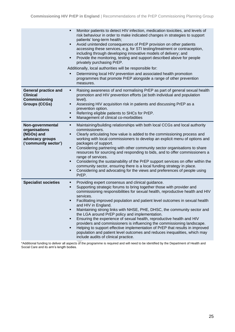|                                                                                                | Monitor patients to detect HIV infection, medication toxicities, and levels of<br>٠<br>risk behaviour in order to make indicated changes in strategies to support<br>patients' long-term health;<br>Avoid unintended consequences of PrEP provision on other patients<br>٠<br>accessing these services, e.g. for STI testing/treatment or contraception,<br>including through developing innovative models of delivery; and<br>Provide the monitoring, testing and support described above for people<br>٠<br>privately purchasing PrEP.<br>Additionally, local authorities will be responsible for:<br>Determining local HIV prevention and associated health promotion<br>programmes that promote PrEP alongside a range of other prevention<br>measures.                                                                                    |
|------------------------------------------------------------------------------------------------|------------------------------------------------------------------------------------------------------------------------------------------------------------------------------------------------------------------------------------------------------------------------------------------------------------------------------------------------------------------------------------------------------------------------------------------------------------------------------------------------------------------------------------------------------------------------------------------------------------------------------------------------------------------------------------------------------------------------------------------------------------------------------------------------------------------------------------------------|
| <b>General practice and</b><br><b>Clinical</b><br><b>Commissioning</b><br><b>Groups (CCGs)</b> | Raising awareness of and normalising PrEP as part of general sexual health<br>٠<br>promotion and HIV prevention efforts (at both individual and population<br>level).<br>Assessing HIV acquisition risk in patients and discussing PrEP as a<br>٠<br>prevention option.<br>Referring eligible patients to SHCs for PrEP.<br>٠<br>Management of clinical co-morbidities<br>٠                                                                                                                                                                                                                                                                                                                                                                                                                                                                    |
| Non-governmental<br>organisations<br>(NGOs) and<br>advocacy groups<br>('community sector')     | Maintaining/building relationships with both local CCGs and local authority<br>٠<br>commissioners.<br>Clearly articulating how value is added to the commissioning process and<br>٠<br>working with local commissioners to develop an explicit menu of options and<br>packages of support.<br>Considering partnering with other community sector organisations to share<br>٠<br>resources for sourcing and responding to bids, and to offer commissioners a<br>range of services.<br>Considering the sustainability of the PrEP support services on offer within the<br>٠<br>community sector, ensuring there is a local funding strategy in place.<br>Considering and advocating for the views and preferences of people using<br>٠<br>PrEP.                                                                                                  |
| <b>Specialist societies</b>                                                                    | Providing expert consensus and clinical guidance.<br>٠<br>Supporting strategic forums to bring together those with provider and<br>٠<br>commissioning responsibilities for sexual health, reproductive health and HIV<br>services.<br>Facilitating improved population and patient level outcomes in sexual health<br>and HIV in England.<br>Maintaining strong links with NHSE, PHE, DHSC, the community sector and<br>٠<br>the LGA around PrEP policy and implementation.<br>Ensuring the experience of sexual health, reproductive health and HIV<br>٠<br>providers and commissioners is influencing the commissioning landscape.<br>Helping to support effective implementation of PrEP that results in improved<br>٠<br>population and patient level outcomes and reduces inequalities, which may<br>include audits of clinical practice. |

\*Additional funding to deliver all aspects of the programme is required and will need to be identified by the Department of Health and Social Care and its arm's length bodies.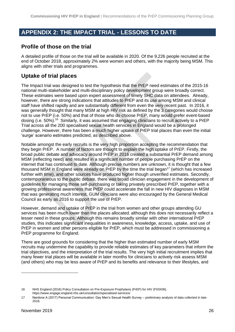## <span id="page-25-0"></span>**APPENDIX 2: THE IMPACT TRIAL - LESSONS TO DATE**

## **Profile of those on the trial**

A detailed profile of those on the trial will be available in 2020. Of the 9,226 people recruited at the end of October 2018, approximately 2% were women and others, with the majority being MSM. This aligns with other trials and programmes.

## **Uptake of trial places**

The Impact trial was designed to test the hypothesis that the PrEP need estimates of the 2015-16 national multi-stakeholder and multi-disciplinary policy development group were broadly correct. These estimates were based upon expert assessment of timely SHC data on attendees. Already, however, there are strong indications that attitudes to PrEP and its use among MSM and clinical staff have shifted rapidly and are substantially different from even the very recent past. In 2016, it was generally thought that many MSM at high HIV risk as defined by the 3 categories would choose not to use PrEP (i.e. 50%) and that of those who do choose PrEP, many would prefer event-based dosing (i.e. 50%).<sup>16</sup> Similarly, it was assumed that engaging clinicians to recruit actively to a PrEP Trial across all the 200 specialised sexual health services in England would be a prolonged challenge. However, there has been a much higher uptake of PrEP trial places than even the initial 'surge' scenario estimates predicted, as described above.

Notable amongst the early recruits is the very high proportion accepting the recommendation that they begin PrEP. A number of factors are thought to explain the high uptake of PrEP. Firstly, the broad public debate and advocacy around PrEP in 2016 created a substantial PrEP demand among MSM (reflecting need) and resulted in a significant number of people purchasing PrEP on the internet that has continued to date. Although precise numbers are unknown, it is thought that a few thousand MSM in England were already on PrEP by the time the trial began<sup>17</sup> (which has increased further with time), and other sources have produced higher though unverified estimates. Secondly, contemporaneous to the public debate, there was broad clinician engagement in the development of guidelines for managing those self-purchasing or taking privately prescribed PrEP, together with a growing professional awareness that PrEP could accelerate the fall in new HIV diagnoses in MSM that was generating much interest. GUM clinicians were also encouraged by the General Medical Council as early as 2016 to support the use of PrEP.

However, demand and uptake of PrEP in the trial from women and other groups attending GU services has been much lower than the places allocated, although this does not necessarily reflect a lesser need in these groups. Although this remains broadly similar with other international PrEP studies, this indicates significant inequalities in awareness, knowledge, access, uptake, and use of PrEP in women and other persons eligible for PrEP, which must be addressed in commissioning a PrEP programme for England.

There are good grounds for considering that the higher than estimated number of early MSM recruits may undermine the capability to provide reliable estimates of key parameters that inform the trial objectives, and the interpretation of the trial results. The very high initial recruitment implies that many fewer trial places will be available in later months for clinicians to actively risk assess MSM (and others) who may be less aware of PrEP and its benefits and relevance to their lifestyles, and

<sup>16</sup> NHS England (2016) Policy Consultation on Pre-Exposure Prophylaxis (PrEP) for HIV (F03X06). <https://www.engage.england.nhs.uk/consultation/specialised-services/>

<sup>17</sup> Nardone A (2017) Personal Communication: Gay Men's Sexual Health Survey – preliminary analysis of data collected in late-2016.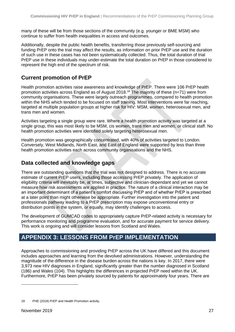many of these will be from those sections of the community (e.g. younger or BME MSM) who continue to suffer from health inequalities in access and outcomes.

Additionally, despite the public health benefits, transferring those previously self-sourcing and funding PrEP onto the trial may affect the results, as information on prior PrEP use and the duration of such use in these cases has not been systematically collected. Thus, the total duration of trial PrEP use in these individuals may under-estimate the total duration on PrEP in those considered to represent the high end of the spectrum of risk.

## <span id="page-26-0"></span>**Current promotion of PrEP**

Health promotion activities raise awareness and knowledge of PrEP. There were 106 PrEP health promotion activities across England as of August 2018.<sup>18</sup> The majority of these (n=71) were from community organisations. These were largely outreach programmes, compared to health promotion within the NHS which tended to be focused on staff training. Most interventions were far reaching, targeted at multiple population groups at higher risk for HIV: MSM, women, heterosexual men, and trans men and women.

Activities targeting a single group were rare. Where a health promotion activity was targeted at a single group, this was most likely to be MSM, cis women, trans men and women, or clinical staff. No health promotion activities were identified solely targeting heterosexual men.

Health promotion was geographically concentrated, with 40% of activities targeted to London. Conversely, West Midlands, North East, and East of England were supported by less than three health promotion activities each across community organisations and the NHS.

## <span id="page-26-1"></span>**Data collected and knowledge gaps**

There are outstanding questions that the trial was not designed to address. There is no accurate estimate of current PrEP users, including those accessing PrEP privately. The application of eligibility criteria will inevitably be, at times, subjective and clinician-dependant and yet we cannot measure how risk assessments are applied in practice. The nature of a clinical interaction may be an important determinant of a patient's comfort discussing PrEP and of whether PrEP is prescribed at a later point than might otherwise be appropriate. Further investigation into the patient and professionals pathway leading to a PrEP prescription may expose unconventional entry or distribution points in the system, or equally, may identify challenges to access.

The development of GUMCAD codes to appropriately capture PrEP-related activity is necessary for performance monitoring and programme evaluation, and for accurate payment for service delivery. This work is ongoing and will consider lessons from Scotland and Wales.

## <span id="page-26-2"></span>**APPENDIX 3: LESSONS FROM PrEP IMPLEMENTATION**

Approaches to commissioning and providing PrEP across the UK have differed and this document includes approaches and learning from the devolved administrations. However, understanding the magnitude of the difference in the disease burden across the nations is key. In 2017, there were 3,973 new HIV diagnoses in England, significantly greater than the number diagnosed in Scotland (186) and Wales (104). This highlights the differences in projected PrEP need within the UK. Furthermore, PrEP has been privately sourced by patients for approximately four years. There are

<sup>18</sup> PHE (2018) PrEP and Health Promotion activity.